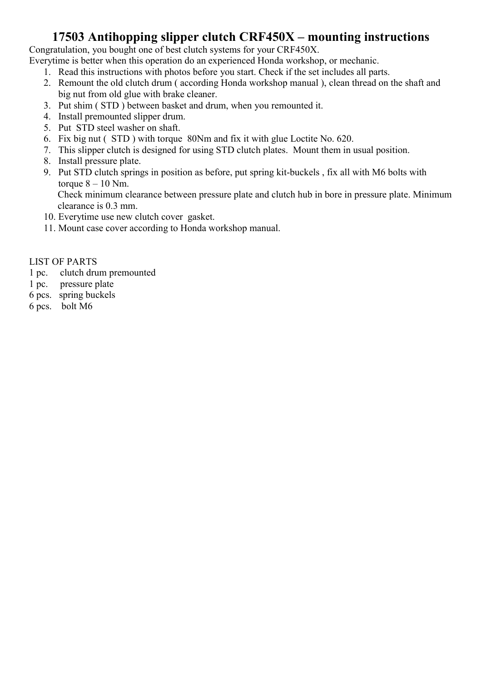#### 17503 Antihopping slipper clutch CRF450X – mounting instructions

Congratulation, you bought one of best clutch systems for your CRF450X.

Everytime is better when this operation do an experienced Honda workshop, or mechanic.

- 1. Read this instructions with photos before you start. Check if the set includes all parts.
- 2. Remount the old clutch drum ( according Honda workshop manual ), clean thread on the shaft and big nut from old glue with brake cleaner.
- 3. Put shim ( STD ) between basket and drum, when you remounted it.
- 4. Install premounted slipper drum.
- 5. Put STD steel washer on shaft.
- 6. Fix big nut ( STD ) with torque 80Nm and fix it with glue Loctite No. 620.
- 7. This slipper clutch is designed for using STD clutch plates. Mount them in usual position.
- 8. Install pressure plate.
- 9. Put STD clutch springs in position as before, put spring kit-buckels , fix all with M6 bolts with torque  $8 - 10$  Nm.

Check minimum clearance between pressure plate and clutch hub in bore in pressure plate. Minimum clearance is 0.3 mm.

- 10. Everytime use new clutch cover gasket.
- 11. Mount case cover according to Honda workshop manual.

#### LIST OF PARTS

- 1 pc. clutch drum premounted
- 1 pc. pressure plate
- 6 pcs. spring buckels
- 6 pcs. bolt M6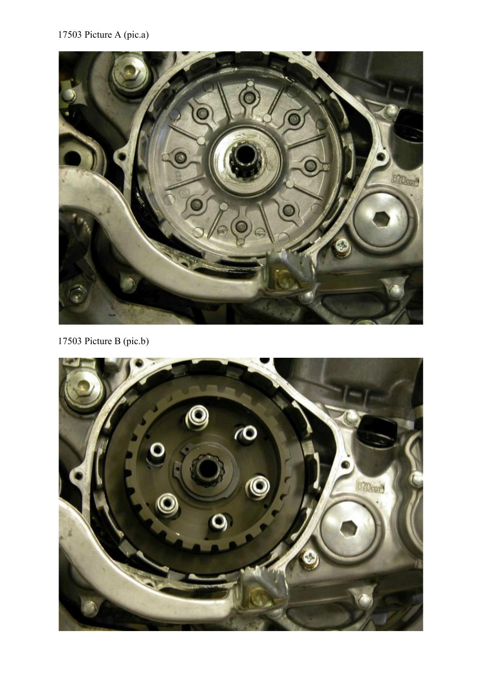#### 17503 Picture A (pic.a)



17503 Picture B (pic.b)

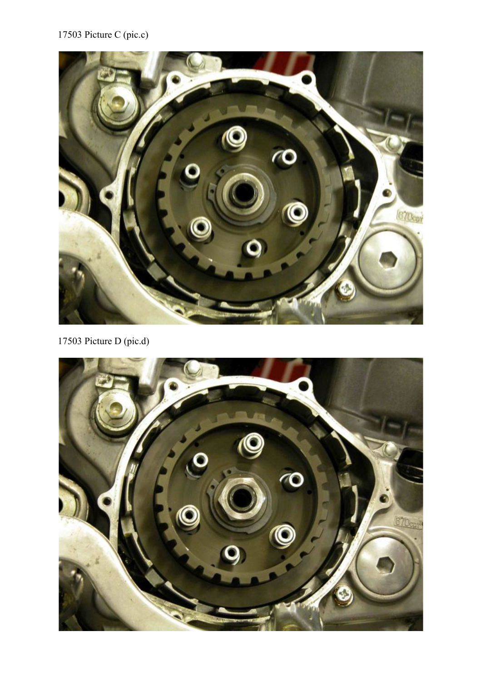# 17503 Picture C (pic.c)



17503 Picture D (pic.d)

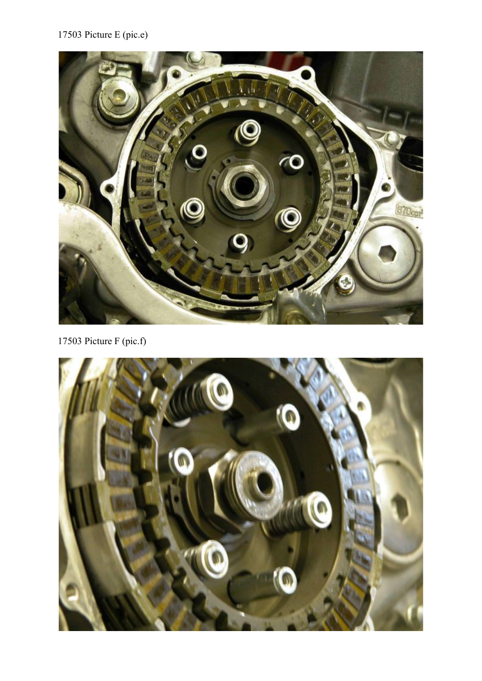# 17503 Picture E (pic.e)



17503 Picture F (pic.f)